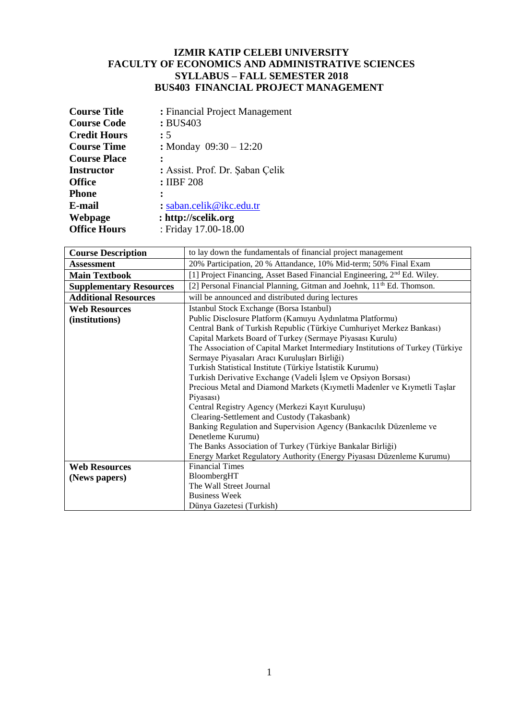## **IZMIR KATIP CELEBI UNIVERSITY FACULTY OF ECONOMICS AND ADMINISTRATIVE SCIENCES SYLLABUS – FALL SEMESTER 2018 BUS403 FINANCIAL PROJECT MANAGEMENT**

| <b>Course Title</b> | : Financial Project Management  |  |  |
|---------------------|---------------------------------|--|--|
| <b>Course Code</b>  | : BUS403                        |  |  |
| <b>Credit Hours</b> | :5                              |  |  |
| <b>Course Time</b>  | : Monday $09:30 - 12:20$        |  |  |
| <b>Course Place</b> |                                 |  |  |
| <b>Instructor</b>   | : Assist. Prof. Dr. Şaban Çelik |  |  |
| <b>Office</b>       | : IIBF 208                      |  |  |
| <b>Phone</b>        |                                 |  |  |
| E-mail              | : saban.celik@ikc.edu.tr        |  |  |
| Webpage             | : http://scelik.org             |  |  |
| <b>Office Hours</b> | : Friday 17.00-18.00            |  |  |

| <b>Course Description</b>      | to lay down the fundamentals of financial project management                         |  |  |
|--------------------------------|--------------------------------------------------------------------------------------|--|--|
| <b>Assessment</b>              | 20% Participation, 20 % Attandance, 10% Mid-term; 50% Final Exam                     |  |  |
| <b>Main Textbook</b>           | [1] Project Financing, Asset Based Financial Engineering, 2 <sup>nd</sup> Ed. Wiley. |  |  |
| <b>Supplementary Resources</b> | [2] Personal Financial Planning, Gitman and Joehnk, 11 <sup>th</sup> Ed. Thomson.    |  |  |
| <b>Additional Resources</b>    | will be announced and distributed during lectures                                    |  |  |
| <b>Web Resources</b>           | Istanbul Stock Exchange (Borsa Istanbul)                                             |  |  |
| (institutions)                 | Public Disclosure Platform (Kamuyu Aydınlatma Platformu)                             |  |  |
|                                | Central Bank of Turkish Republic (Türkiye Cumhuriyet Merkez Bankası)                 |  |  |
|                                | Capital Markets Board of Turkey (Sermaye Piyasası Kurulu)                            |  |  |
|                                | The Association of Capital Market Intermediary Institutions of Turkey (Türkiye       |  |  |
|                                | Sermaye Piyasaları Aracı Kuruluşları Birliği)                                        |  |  |
|                                | Turkish Statistical Institute (Türkiye İstatistik Kurumu)                            |  |  |
|                                | Turkish Derivative Exchange (Vadeli İşlem ve Opsiyon Borsası)                        |  |  |
|                                | Precious Metal and Diamond Markets (Kıymetli Madenler ve Kıymetli Taşlar             |  |  |
|                                | Piyasası)                                                                            |  |  |
|                                | Central Registry Agency (Merkezi Kayıt Kuruluşu)                                     |  |  |
|                                | Clearing-Settlement and Custody (Takasbank)                                          |  |  |
|                                | Banking Regulation and Supervision Agency (Bankacılık Düzenleme ve                   |  |  |
|                                | Denetleme Kurumu)                                                                    |  |  |
|                                | The Banks Association of Turkey (Türkiye Bankalar Birliği)                           |  |  |
|                                | Energy Market Regulatory Authority (Energy Piyasası Düzenleme Kurumu)                |  |  |
| <b>Web Resources</b>           | <b>Financial Times</b>                                                               |  |  |
| (News papers)                  | BloombergHT                                                                          |  |  |
|                                | The Wall Street Journal                                                              |  |  |
|                                | <b>Business Week</b>                                                                 |  |  |
|                                | Dünya Gazetesi (Turkish)                                                             |  |  |